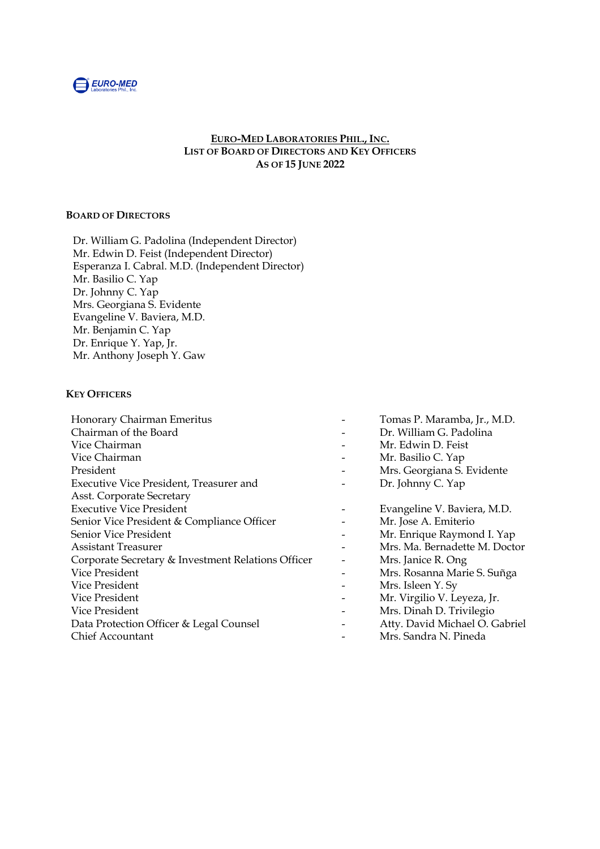

## **EURO-MED LABORATORIES PHIL., INC. LIST OF BOARD OF DIRECTORS AND KEY OFFICERS AS OF 15 JUNE 2022**

## **BOARD OF DIRECTORS**

Dr. William G. Padolina (Independent Director) Mr. Edwin D. Feist (Independent Director) Esperanza I. Cabral. M.D. (Independent Director) Mr. Basilio C. Yap Dr. Johnny C. Yap Mrs. Georgiana S. Evidente Evangeline V. Baviera, M.D. Mr. Benjamin C. Yap Dr. Enrique Y. Yap, Jr. Mr. Anthony Joseph Y. Gaw

#### **KEY OFFICERS**

| Honorary Chairman Emeritus                         | Tomas P. Maramba, Jr., M.D.    |
|----------------------------------------------------|--------------------------------|
| Chairman of the Board                              | Dr. William G. Padolina        |
| Vice Chairman                                      | Mr. Edwin D. Feist             |
| Vice Chairman                                      | Mr. Basilio C. Yap             |
| President                                          | Mrs. Georgiana S. Evidente     |
| Executive Vice President, Treasurer and            | Dr. Johnny C. Yap              |
| Asst. Corporate Secretary                          |                                |
| <b>Executive Vice President</b>                    | Evangeline V. Baviera, M.D.    |
| Senior Vice President & Compliance Officer         | Mr. Jose A. Emiterio           |
| Senior Vice President                              | Mr. Enrique Raymond I. Yap     |
| Assistant Treasurer                                | Mrs. Ma. Bernadette M. Doctor  |
| Corporate Secretary & Investment Relations Officer | Mrs. Janice R. Ong             |
| Vice President                                     | Mrs. Rosanna Marie S. Suñga    |
| Vice President                                     | Mrs. Isleen Y. Sy              |
| Vice President                                     | Mr. Virgilio V. Leyeza, Jr.    |
| Vice President                                     | Mrs. Dinah D. Trivilegio       |
| Data Protection Officer & Legal Counsel            | Atty. David Michael O. Gabriel |
| <b>Chief Accountant</b>                            | Mrs. Sandra N. Pineda          |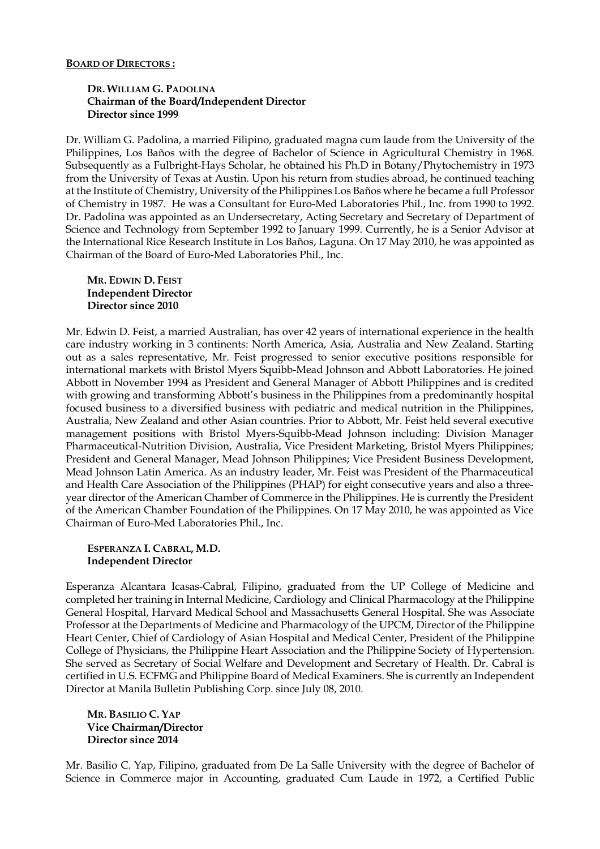#### **BOARD OF DIRECTORS :**

### **DR. WILLIAM G. PADOLINA Chairman of the Board/Independent Director Director since 1999**

Dr. William G. Padolina, a married Filipino, graduated magna cum laude from the University of the Philippines, Los Baños with the degree of Bachelor of Science in Agricultural Chemistry in 1968. Subsequently as a Fulbright-Hays Scholar, he obtained his Ph.D in Botany/Phytochemistry in 1973 from the University of Texas at Austin. Upon his return from studies abroad, he continued teaching at the Institute of Chemistry, University of the Philippines Los Baños where he became a full Professor of Chemistry in 1987. He was a Consultant for Euro-Med Laboratories Phil., Inc. from 1990 to 1992. Dr. Padolina was appointed as an Undersecretary, Acting Secretary and Secretary of Department of Science and Technology from September 1992 to January 1999. Currently, he is a Senior Advisor at the International Rice Research Institute in Los Baños, Laguna. On 17 May 2010, he was appointed as Chairman of the Board of Euro-Med Laboratories Phil., Inc.

### **MR. EDWIN D. FEIST Independent Director Director since 2010**

Mr. Edwin D. Feist, a married Australian, has over 42 years of international experience in the health care industry working in 3 continents: North America, Asia, Australia and New Zealand. Starting out as a sales representative, Mr. Feist progressed to senior executive positions responsible for international markets with Bristol Myers Squibb-Mead Johnson and Abbott Laboratories. He joined Abbott in November 1994 as President and General Manager of Abbott Philippines and is credited with growing and transforming Abbott's business in the Philippines from a predominantly hospital focused business to a diversified business with pediatric and medical nutrition in the Philippines, Australia, New Zealand and other Asian countries. Prior to Abbott, Mr. Feist held several executive management positions with Bristol Myers-Squibb-Mead Johnson including: Division Manager Pharmaceutical-Nutrition Division, Australia, Vice President Marketing, Bristol Myers Philippines; President and General Manager, Mead Johnson Philippines; Vice President Business Development, Mead Johnson Latin America. As an industry leader, Mr. Feist was President of the Pharmaceutical and Health Care Association of the Philippines (PHAP) for eight consecutive years and also a threeyear director of the American Chamber of Commerce in the Philippines. He is currently the President of the American Chamber Foundation of the Philippines. On 17 May 2010, he was appointed as Vice Chairman of Euro-Med Laboratories Phil., Inc.

### **ESPERANZA I. CABRAL, M.D. Independent Director**

Esperanza Alcantara Icasas-Cabral, Filipino, graduated from the UP College of Medicine and completed her training in Internal Medicine, Cardiology and Clinical Pharmacology at the Philippine General Hospital, Harvard Medical School and Massachusetts General Hospital. She was Associate Professor at the Departments of Medicine and Pharmacology of the UPCM, Director of the Philippine Heart Center, Chief of Cardiology of Asian Hospital and Medical Center, President of the Philippine College of Physicians, the Philippine Heart Association and the Philippine Society of Hypertension. She served as Secretary of Social Welfare and Development and Secretary of Health. Dr. Cabral is certified in U.S. ECFMG and Philippine Board of Medical Examiners. She is currently an Independent Director at Manila Bulletin Publishing Corp. since July 08, 2010.

#### **MR. BASILIO C. YAP Vice Chairman/Director Director since 2014**

Mr. Basilio C. Yap, Filipino, graduated from De La Salle University with the degree of Bachelor of Science in Commerce major in Accounting, graduated Cum Laude in 1972, a Certified Public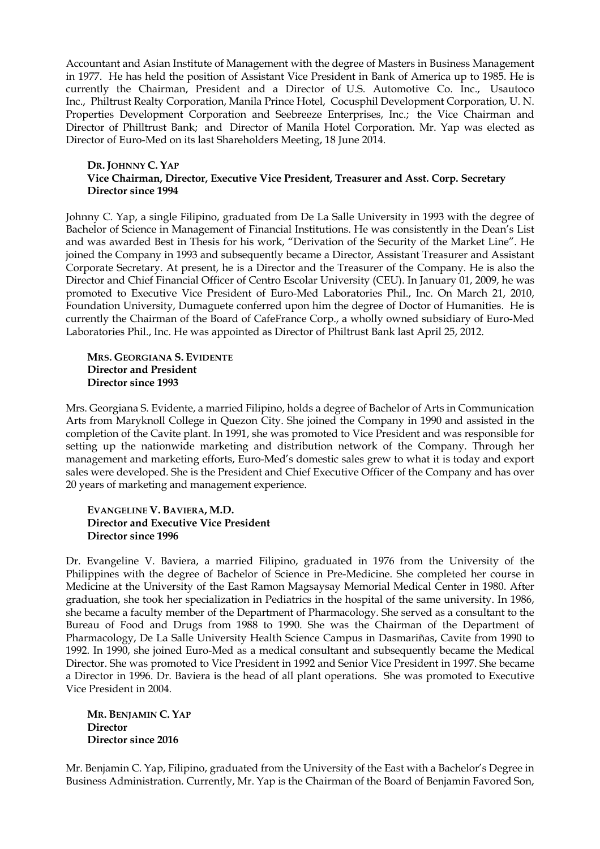Accountant and Asian Institute of Management with the degree of Masters in Business Management in 1977. He has held the position of Assistant Vice President in Bank of America up to 1985. He is currently the Chairman, President and a Director of U.S. Automotive Co. Inc., Usautoco Inc., Philtrust Realty Corporation, Manila Prince Hotel, Cocusphil Development Corporation, U. N. Properties Development Corporation and Seebreeze Enterprises, Inc.; the Vice Chairman and Director of Philltrust Bank; and Director of Manila Hotel Corporation. Mr. Yap was elected as Director of Euro-Med on its last Shareholders Meeting, 18 June 2014.

#### **DR. JOHNNY C. YAP Vice Chairman, Director, Executive Vice President, Treasurer and Asst. Corp. Secretary Director since 1994**

Johnny C. Yap, a single Filipino, graduated from De La Salle University in 1993 with the degree of Bachelor of Science in Management of Financial Institutions. He was consistently in the Dean's List and was awarded Best in Thesis for his work, "Derivation of the Security of the Market Line". He joined the Company in 1993 and subsequently became a Director, Assistant Treasurer and Assistant Corporate Secretary. At present, he is a Director and the Treasurer of the Company. He is also the Director and Chief Financial Officer of Centro Escolar University (CEU). In January 01, 2009, he was promoted to Executive Vice President of Euro-Med Laboratories Phil., Inc. On March 21, 2010, Foundation University, Dumaguete conferred upon him the degree of Doctor of Humanities. He is currently the Chairman of the Board of CafeFrance Corp., a wholly owned subsidiary of Euro-Med Laboratories Phil., Inc. He was appointed as Director of Philtrust Bank last April 25, 2012.

## **MRS. GEORGIANA S. EVIDENTE Director and President Director since 1993**

Mrs. Georgiana S. Evidente, a married Filipino, holds a degree of Bachelor of Arts in Communication Arts from Maryknoll College in Quezon City. She joined the Company in 1990 and assisted in the completion of the Cavite plant. In 1991, she was promoted to Vice President and was responsible for setting up the nationwide marketing and distribution network of the Company. Through her management and marketing efforts, Euro-Med's domestic sales grew to what it is today and export sales were developed. She is the President and Chief Executive Officer of the Company and has over 20 years of marketing and management experience.

## **EVANGELINE V. BAVIERA, M.D. Director and Executive Vice President Director since 1996**

Dr. Evangeline V. Baviera, a married Filipino, graduated in 1976 from the University of the Philippines with the degree of Bachelor of Science in Pre-Medicine. She completed her course in Medicine at the University of the East Ramon Magsaysay Memorial Medical Center in 1980. After graduation, she took her specialization in Pediatrics in the hospital of the same university. In 1986, she became a faculty member of the Department of Pharmacology. She served as a consultant to the Bureau of Food and Drugs from 1988 to 1990. She was the Chairman of the Department of Pharmacology, De La Salle University Health Science Campus in Dasmariñas, Cavite from 1990 to 1992. In 1990, she joined Euro-Med as a medical consultant and subsequently became the Medical Director. She was promoted to Vice President in 1992 and Senior Vice President in 1997. She became a Director in 1996. Dr. Baviera is the head of all plant operations. She was promoted to Executive Vice President in 2004.

**MR. BENJAMIN C. YAP Director Director since 2016**

Mr. Benjamin C. Yap, Filipino, graduated from the University of the East with a Bachelor's Degree in Business Administration. Currently, Mr. Yap is the Chairman of the Board of Benjamin Favored Son,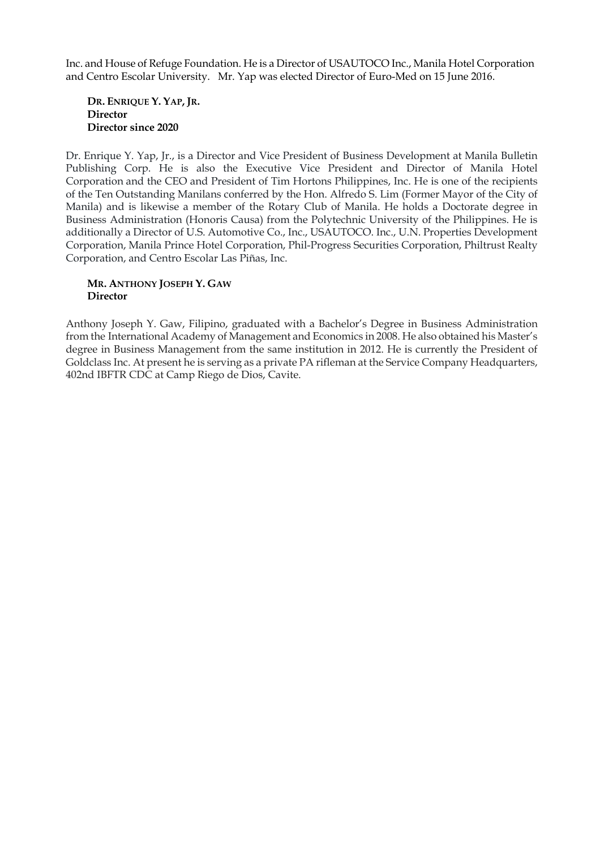Inc. and House of Refuge Foundation. He is a Director of USAUTOCO Inc., Manila Hotel Corporation and Centro Escolar University. Mr. Yap was elected Director of Euro-Med on 15 June 2016.

**DR. ENRIQUE Y. YAP, JR. Director Director since 2020**

Dr. Enrique Y. Yap, Jr., is a Director and Vice President of Business Development at Manila Bulletin Publishing Corp. He is also the Executive Vice President and Director of Manila Hotel Corporation and the CEO and President of Tim Hortons Philippines, Inc. He is one of the recipients of the Ten Outstanding Manilans conferred by the Hon. Alfredo S. Lim (Former Mayor of the City of Manila) and is likewise a member of the Rotary Club of Manila. He holds a Doctorate degree in Business Administration (Honoris Causa) from the Polytechnic University of the Philippines. He is additionally a Director of U.S. Automotive Co., Inc., USAUTOCO. Inc., U.N. Properties Development Corporation, Manila Prince Hotel Corporation, Phil-Progress Securities Corporation, Philtrust Realty Corporation, and Centro Escolar Las Piñas, Inc.

#### **MR. ANTHONY JOSEPH Y. GAW Director**

Anthony Joseph Y. Gaw, Filipino, graduated with a Bachelor's Degree in Business Administration from the International Academy of Management and Economics in 2008. He also obtained his Master's degree in Business Management from the same institution in 2012. He is currently the President of Goldclass Inc. At present he is serving as a private PA rifleman at the Service Company Headquarters, 402nd IBFTR CDC at Camp Riego de Dios, Cavite.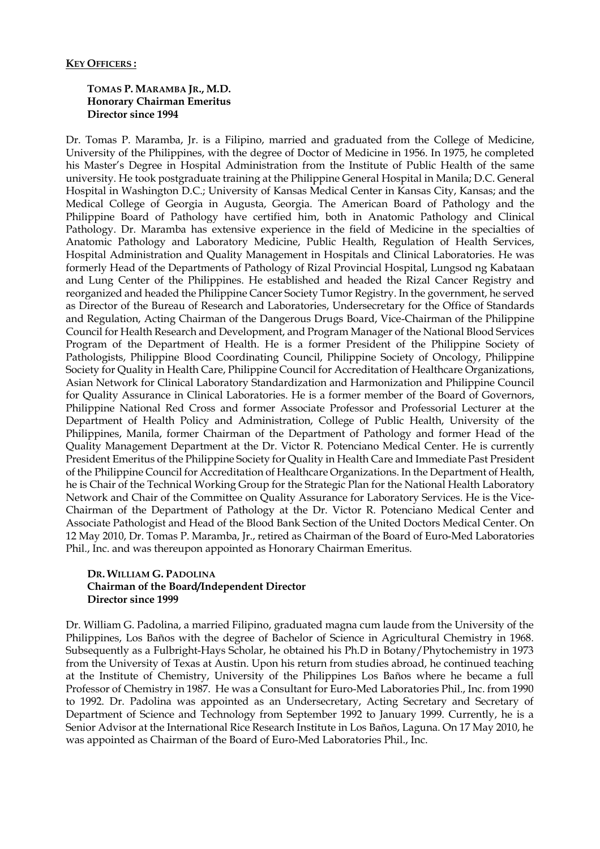## **TOMAS P. MARAMBA JR., M.D. Honorary Chairman Emeritus Director since 1994**

Dr. Tomas P. Maramba, Jr. is a Filipino, married and graduated from the College of Medicine, University of the Philippines, with the degree of Doctor of Medicine in 1956. In 1975, he completed his Master's Degree in Hospital Administration from the Institute of Public Health of the same university. He took postgraduate training at the Philippine General Hospital in Manila; D.C. General Hospital in Washington D.C.; University of Kansas Medical Center in Kansas City, Kansas; and the Medical College of Georgia in Augusta, Georgia. The American Board of Pathology and the Philippine Board of Pathology have certified him, both in Anatomic Pathology and Clinical Pathology. Dr. Maramba has extensive experience in the field of Medicine in the specialties of Anatomic Pathology and Laboratory Medicine, Public Health, Regulation of Health Services, Hospital Administration and Quality Management in Hospitals and Clinical Laboratories. He was formerly Head of the Departments of Pathology of Rizal Provincial Hospital, Lungsod ng Kabataan and Lung Center of the Philippines. He established and headed the Rizal Cancer Registry and reorganized and headed the Philippine Cancer Society Tumor Registry. In the government, he served as Director of the Bureau of Research and Laboratories, Undersecretary for the Office of Standards and Regulation, Acting Chairman of the Dangerous Drugs Board, Vice-Chairman of the Philippine Council for Health Research and Development, and Program Manager of the National Blood Services Program of the Department of Health. He is a former President of the Philippine Society of Pathologists, Philippine Blood Coordinating Council, Philippine Society of Oncology, Philippine Society for Quality in Health Care, Philippine Council for Accreditation of Healthcare Organizations, Asian Network for Clinical Laboratory Standardization and Harmonization and Philippine Council for Quality Assurance in Clinical Laboratories. He is a former member of the Board of Governors, Philippine National Red Cross and former Associate Professor and Professorial Lecturer at the Department of Health Policy and Administration, College of Public Health, University of the Philippines, Manila, former Chairman of the Department of Pathology and former Head of the Quality Management Department at the Dr. Victor R. Potenciano Medical Center. He is currently President Emeritus of the Philippine Society for Quality in Health Care and Immediate Past President of the Philippine Council for Accreditation of Healthcare Organizations. In the Department of Health, he is Chair of the Technical Working Group for the Strategic Plan for the National Health Laboratory Network and Chair of the Committee on Quality Assurance for Laboratory Services. He is the Vice-Chairman of the Department of Pathology at the Dr. Victor R. Potenciano Medical Center and Associate Pathologist and Head of the Blood Bank Section of the United Doctors Medical Center. On 12 May 2010, Dr. Tomas P. Maramba, Jr., retired as Chairman of the Board of Euro-Med Laboratories Phil., Inc. and was thereupon appointed as Honorary Chairman Emeritus.

#### **DR. WILLIAM G. PADOLINA Chairman of the Board/Independent Director Director since 1999**

Dr. William G. Padolina, a married Filipino, graduated magna cum laude from the University of the Philippines, Los Baños with the degree of Bachelor of Science in Agricultural Chemistry in 1968. Subsequently as a Fulbright-Hays Scholar, he obtained his Ph.D in Botany/Phytochemistry in 1973 from the University of Texas at Austin. Upon his return from studies abroad, he continued teaching at the Institute of Chemistry, University of the Philippines Los Baños where he became a full Professor of Chemistry in 1987. He was a Consultant for Euro-Med Laboratories Phil., Inc. from 1990 to 1992. Dr. Padolina was appointed as an Undersecretary, Acting Secretary and Secretary of Department of Science and Technology from September 1992 to January 1999. Currently, he is a Senior Advisor at the International Rice Research Institute in Los Baños, Laguna. On 17 May 2010, he was appointed as Chairman of the Board of Euro-Med Laboratories Phil., Inc.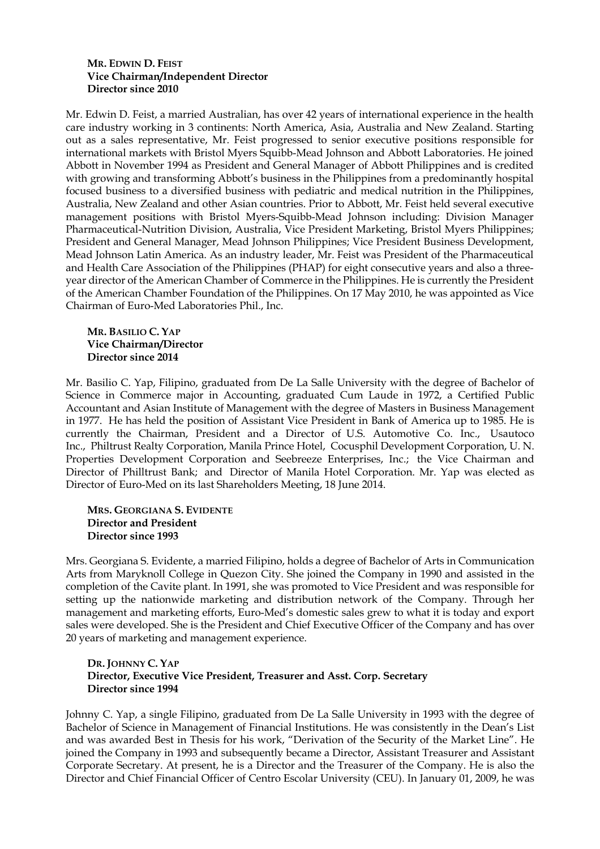## **MR. EDWIN D. FEIST Vice Chairman/Independent Director Director since 2010**

Mr. Edwin D. Feist, a married Australian, has over 42 years of international experience in the health care industry working in 3 continents: North America, Asia, Australia and New Zealand. Starting out as a sales representative, Mr. Feist progressed to senior executive positions responsible for international markets with Bristol Myers Squibb-Mead Johnson and Abbott Laboratories. He joined Abbott in November 1994 as President and General Manager of Abbott Philippines and is credited with growing and transforming Abbott's business in the Philippines from a predominantly hospital focused business to a diversified business with pediatric and medical nutrition in the Philippines, Australia, New Zealand and other Asian countries. Prior to Abbott, Mr. Feist held several executive management positions with Bristol Myers-Squibb-Mead Johnson including: Division Manager Pharmaceutical-Nutrition Division, Australia, Vice President Marketing, Bristol Myers Philippines; President and General Manager, Mead Johnson Philippines; Vice President Business Development, Mead Johnson Latin America. As an industry leader, Mr. Feist was President of the Pharmaceutical and Health Care Association of the Philippines (PHAP) for eight consecutive years and also a threeyear director of the American Chamber of Commerce in the Philippines. He is currently the President of the American Chamber Foundation of the Philippines. On 17 May 2010, he was appointed as Vice Chairman of Euro-Med Laboratories Phil., Inc.

## **MR. BASILIO C. YAP Vice Chairman/Director Director since 2014**

Mr. Basilio C. Yap, Filipino, graduated from De La Salle University with the degree of Bachelor of Science in Commerce major in Accounting, graduated Cum Laude in 1972, a Certified Public Accountant and Asian Institute of Management with the degree of Masters in Business Management in 1977. He has held the position of Assistant Vice President in Bank of America up to 1985. He is currently the Chairman, President and a Director of U.S. Automotive Co. Inc., Usautoco Inc., Philtrust Realty Corporation, Manila Prince Hotel, Cocusphil Development Corporation, U. N. Properties Development Corporation and Seebreeze Enterprises, Inc.; the Vice Chairman and Director of Philltrust Bank; and Director of Manila Hotel Corporation. Mr. Yap was elected as Director of Euro-Med on its last Shareholders Meeting, 18 June 2014.

## **MRS. GEORGIANA S. EVIDENTE Director and President Director since 1993**

Mrs. Georgiana S. Evidente, a married Filipino, holds a degree of Bachelor of Arts in Communication Arts from Maryknoll College in Quezon City. She joined the Company in 1990 and assisted in the completion of the Cavite plant. In 1991, she was promoted to Vice President and was responsible for setting up the nationwide marketing and distribution network of the Company. Through her management and marketing efforts, Euro-Med's domestic sales grew to what it is today and export sales were developed. She is the President and Chief Executive Officer of the Company and has over 20 years of marketing and management experience.

# **DR. JOHNNY C. YAP Director, Executive Vice President, Treasurer and Asst. Corp. Secretary Director since 1994**

Johnny C. Yap, a single Filipino, graduated from De La Salle University in 1993 with the degree of Bachelor of Science in Management of Financial Institutions. He was consistently in the Dean's List and was awarded Best in Thesis for his work, "Derivation of the Security of the Market Line". He joined the Company in 1993 and subsequently became a Director, Assistant Treasurer and Assistant Corporate Secretary. At present, he is a Director and the Treasurer of the Company. He is also the Director and Chief Financial Officer of Centro Escolar University (CEU). In January 01, 2009, he was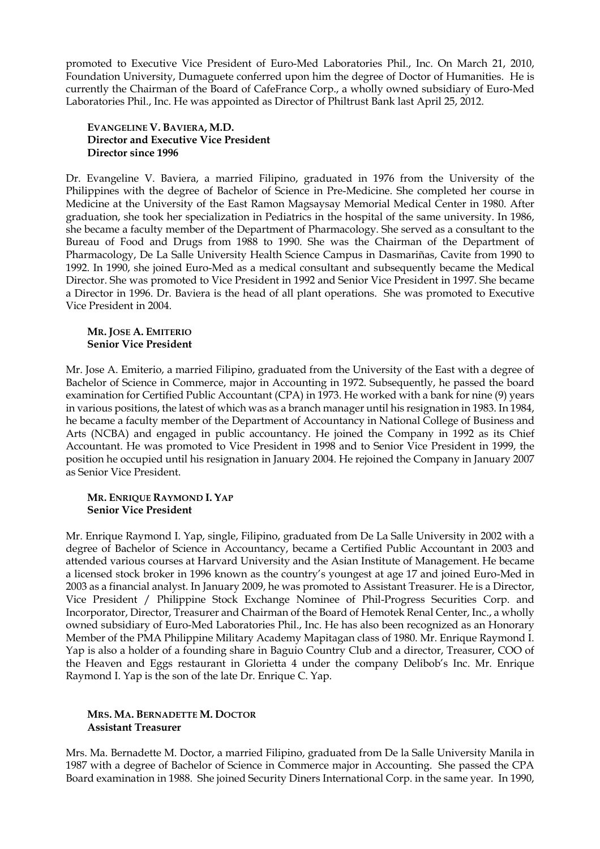promoted to Executive Vice President of Euro-Med Laboratories Phil., Inc. On March 21, 2010, Foundation University, Dumaguete conferred upon him the degree of Doctor of Humanities. He is currently the Chairman of the Board of CafeFrance Corp., a wholly owned subsidiary of Euro-Med Laboratories Phil., Inc. He was appointed as Director of Philtrust Bank last April 25, 2012.

### **EVANGELINE V. BAVIERA, M.D. Director and Executive Vice President Director since 1996**

Dr. Evangeline V. Baviera, a married Filipino, graduated in 1976 from the University of the Philippines with the degree of Bachelor of Science in Pre-Medicine. She completed her course in Medicine at the University of the East Ramon Magsaysay Memorial Medical Center in 1980. After graduation, she took her specialization in Pediatrics in the hospital of the same university. In 1986, she became a faculty member of the Department of Pharmacology. She served as a consultant to the Bureau of Food and Drugs from 1988 to 1990. She was the Chairman of the Department of Pharmacology, De La Salle University Health Science Campus in Dasmariñas, Cavite from 1990 to 1992. In 1990, she joined Euro-Med as a medical consultant and subsequently became the Medical Director. She was promoted to Vice President in 1992 and Senior Vice President in 1997. She became a Director in 1996. Dr. Baviera is the head of all plant operations. She was promoted to Executive Vice President in 2004.

### **MR. JOSE A. EMITERIO Senior Vice President**

Mr. Jose A. Emiterio, a married Filipino, graduated from the University of the East with a degree of Bachelor of Science in Commerce, major in Accounting in 1972. Subsequently, he passed the board examination for Certified Public Accountant (CPA) in 1973. He worked with a bank for nine (9) years in various positions, the latest of which was as a branch manager until his resignation in 1983. In 1984, he became a faculty member of the Department of Accountancy in National College of Business and Arts (NCBA) and engaged in public accountancy. He joined the Company in 1992 as its Chief Accountant. He was promoted to Vice President in 1998 and to Senior Vice President in 1999, the position he occupied until his resignation in January 2004. He rejoined the Company in January 2007 as Senior Vice President.

### **MR. ENRIQUE RAYMOND I. YAP Senior Vice President**

Mr. Enrique Raymond I. Yap, single, Filipino, graduated from De La Salle University in 2002 with a degree of Bachelor of Science in Accountancy, became a Certified Public Accountant in 2003 and attended various courses at Harvard University and the Asian Institute of Management. He became a licensed stock broker in 1996 known as the country's youngest at age 17 and joined Euro-Med in 2003 as a financial analyst. In January 2009, he was promoted to Assistant Treasurer. He is a Director, Vice President / Philippine Stock Exchange Nominee of Phil-Progress Securities Corp. and Incorporator, Director, Treasurer and Chairman of the Board of Hemotek Renal Center, Inc., a wholly owned subsidiary of Euro-Med Laboratories Phil., Inc. He has also been recognized as an Honorary Member of the PMA Philippine Military Academy Mapitagan class of 1980. Mr. Enrique Raymond I. Yap is also a holder of a founding share in Baguio Country Club and a director, Treasurer, COO of the Heaven and Eggs restaurant in Glorietta 4 under the company Delibob's Inc. Mr. Enrique Raymond I. Yap is the son of the late Dr. Enrique C. Yap.

## **MRS. MA. BERNADETTE M. DOCTOR Assistant Treasurer**

Mrs. Ma. Bernadette M. Doctor, a married Filipino, graduated from De la Salle University Manila in 1987 with a degree of Bachelor of Science in Commerce major in Accounting. She passed the CPA Board examination in 1988. She joined Security Diners International Corp. in the same year. In 1990,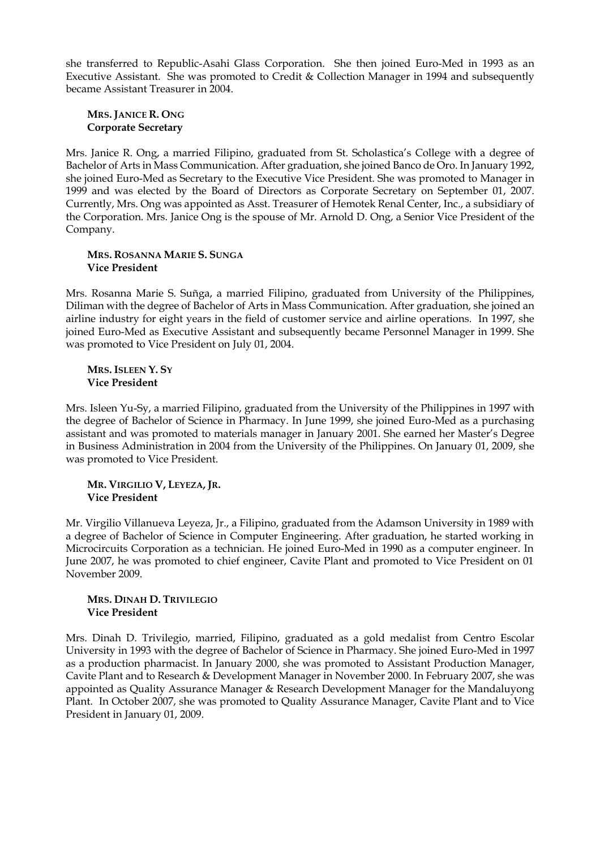she transferred to Republic-Asahi Glass Corporation. She then joined Euro-Med in 1993 as an Executive Assistant. She was promoted to Credit & Collection Manager in 1994 and subsequently became Assistant Treasurer in 2004.

## **MRS. JANICE R. ONG Corporate Secretary**

Mrs. Janice R. Ong, a married Filipino, graduated from St. Scholastica's College with a degree of Bachelor of Arts in Mass Communication. After graduation, she joined Banco de Oro. In January 1992, she joined Euro-Med as Secretary to the Executive Vice President. She was promoted to Manager in 1999 and was elected by the Board of Directors as Corporate Secretary on September 01, 2007. Currently, Mrs. Ong was appointed as Asst. Treasurer of Hemotek Renal Center, Inc., a subsidiary of the Corporation. Mrs. Janice Ong is the spouse of Mr. Arnold D. Ong, a Senior Vice President of the Company.

#### **MRS. ROSANNA MARIE S. SUNGA Vice President**

Mrs. Rosanna Marie S. Suñga, a married Filipino, graduated from University of the Philippines, Diliman with the degree of Bachelor of Arts in Mass Communication. After graduation, she joined an airline industry for eight years in the field of customer service and airline operations. In 1997, she joined Euro-Med as Executive Assistant and subsequently became Personnel Manager in 1999. She was promoted to Vice President on July 01, 2004.

## **MRS. ISLEEN Y. SY Vice President**

Mrs. Isleen Yu-Sy, a married Filipino, graduated from the University of the Philippines in 1997 with the degree of Bachelor of Science in Pharmacy. In June 1999, she joined Euro-Med as a purchasing assistant and was promoted to materials manager in January 2001. She earned her Master's Degree in Business Administration in 2004 from the University of the Philippines. On January 01, 2009, she was promoted to Vice President.

## **MR. VIRGILIO V, LEYEZA, JR. Vice President**

Mr. Virgilio Villanueva Leyeza, Jr., a Filipino, graduated from the Adamson University in 1989 with a degree of Bachelor of Science in Computer Engineering. After graduation, he started working in Microcircuits Corporation as a technician. He joined Euro-Med in 1990 as a computer engineer. In June 2007, he was promoted to chief engineer, Cavite Plant and promoted to Vice President on 01 November 2009.

### **MRS. DINAH D. TRIVILEGIO Vice President**

Mrs. Dinah D. Trivilegio, married, Filipino, graduated as a gold medalist from Centro Escolar University in 1993 with the degree of Bachelor of Science in Pharmacy. She joined Euro-Med in 1997 as a production pharmacist. In January 2000, she was promoted to Assistant Production Manager, Cavite Plant and to Research & Development Manager in November 2000. In February 2007, she was appointed as Quality Assurance Manager & Research Development Manager for the Mandaluyong Plant. In October 2007, she was promoted to Quality Assurance Manager, Cavite Plant and to Vice President in January 01, 2009.